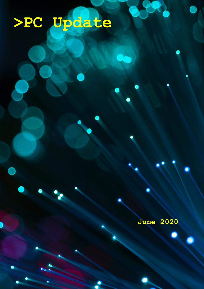# **>PC Update**

**June 2020**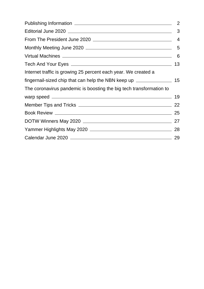|                                                                     | 2              |
|---------------------------------------------------------------------|----------------|
|                                                                     | 3              |
|                                                                     | $\overline{4}$ |
|                                                                     |                |
|                                                                     | - 6            |
|                                                                     | 13             |
| Internet traffic is growing 25 percent each year. We created a      |                |
|                                                                     |                |
| The coronavirus pandemic is boosting the big tech transformation to |                |
|                                                                     |                |
|                                                                     |                |
|                                                                     |                |
|                                                                     |                |
|                                                                     |                |
|                                                                     |                |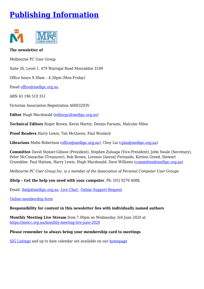# <span id="page-2-0"></span>**[Publishing Information](https://www.melbpc.org.au/masthead-11752)**



#### **The newsletter of**

Melbourne PC User Group

Suite 26, Level 1, 479 Warrigal Road Moorabbin 3189

Office hours 9.30am – 4.30pm (Mon-Friday)

Email [office@melbpc.org.au](mailto:office@melbpc.org.au)

ABN 43 196 519 351

Victorian Association Registration A0003293V

**Editor** Hugh Macdonald ([editorpc@melbpc.org.au\)](mailto:editorpc@melbpc.org.au)

**Technical Editors** Roger Brown, Kevin Martin, Dennis Parsons, Malcolm Miles

**Proof Readers** Harry Lewis, Tim McQueen, Paul Woolard

**Librarians** Malin Robertson ([office@melbpc.org.au\)](mailto:office@melbpc.org.au), Choy Lai [\(cplai@melbpc.org.au](mailto:cplai@melbpc.org.au))

**Committee** David Stonier-Gibson (President), Stephen Zuluaga (Vice-President), John Swale (Secretary), Peter McConnachie (Treasurer), Rob Brown, Lorenzo (Aavon) Fernando, Kirsten Greed, Stewart Gruneklee, Paul Hattam, Harry Lewis, Hugh Macdonald, Dave Williams ([committee@melbpc.org.au\)](mailto:committee@melbpc.org.au)

*Melbourne PC User Group Inc. is a member of the Association of Personal Computer User Groups*

**iHelp – Get the help you need with your computer**, Ph: (03) 9276 4088,

Email: [ihelp@melbpc.org.au,](mailto:ihelp@melbpc.org.au) [Live Chat!](https://app.purechat.com/w/ihelpsig), [Online Support Request](https://www.melbpc.org.au/ihelp/ihelp-support-request)

[Online membership form](https://www.melbpc.org.au/membership-online-cust-form)

#### **Responsibility for content in this newsletter lies with individually named authors**

**Monthly Meeting Live Stream** from 7.00pm on Wednesday 3rd June 2020 at <https://melcc.org.au/monthly-meeting-live-june-2020>

#### **Please remember to always bring your membership card to meetings**

[SIG Listings](https://www.melbpc.org.au/sigs/about/sig-list) and up to date calendar are available on our [homepage](http://www.melbpc.org.au/)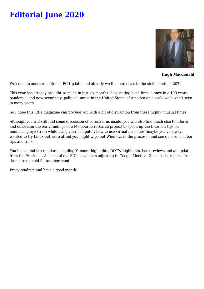# <span id="page-3-0"></span>**[Editorial June 2020](https://www.melbpc.org.au/?p=74169)**



**Hugh Macdonald**

Welcome to another edition of PC Update, and already we find ourselves in the sixth month of 2020.

This year has already brought so much in just six months: devastating bush fires, a once in a 100 years pandemic, and now seemingly, political unrest in the United States of America on a scale we haven't seen in many years.

So I hope this little magazine can provide you with a bit of distraction from these highly unusual times.

Although you will still find some discussion of coronavirus inside, you will also find much else to inform and entertain: the early findings of a Melbourne research project to speed up the Internet, tips on minimising eye strain while using your computer, how to use virtual machines (maybe you've always wanted to try Linux but were afraid you might wipe out Windows in the process), and some more member tips and tricks.

You'll also find the regulars including Yammer highlights, DOTW highlights, book reviews and an update from the President. As most of our SIGs have been adjusting to Google Meets or Zoom calls, reports from them are on hold for another month.

Enjoy reading, and have a good month!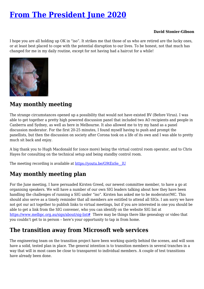# <span id="page-4-0"></span>**[From The President June 2020](https://www.melbpc.org.au/?p=74143)**

#### **David Stonier-Gibson**

I hope you are all holding up OK in "iso". It strikes me that those of us who are retired are the lucky ones, or at least best placed to cope with the potential disruption to our lives. To be honest, not that much has changed for me in my daily routine, except for not having had a haircut for a while!



### **May monthly meeting**

The strange circumstances opened up a possibility that would not have existed BV (Before Virus). I was able to get together a pretty high powered discussion panel that included two AO recipients and people in Canberra and Sydney, as well as here in Melbourne. It also allowed me to try my hand as a panel discussion moderator. For the first 20-25 minutes, I found myself having to push and prompt the panellists, but then the discussion on society after Corona took on a life of its own and I was able to pretty much sit back and enjoy.

A big thank you to Hugh Macdonald for (once more) being the virtual control room operator, and to Chris Hayes for consulting on the technical setup and being standby control room.

The meeting recording is available at https://youtu.be/G9tEnSe lU

# **May monthly meeting plan**

For the June meeting, I have persuaded Kirsten Greed, our newest committee member, to have a go at organising speakers. We will have a number of our own SIG leaders talking about how they have been handling the challenges of running a SIG under "iso". Kirsten has asked me to be moderator/MC. This should also serve as a timely reminder that all members are entitled to attend all SIGs. I am sorry we have not got our act together to publish links to virtual meetings, but if you are interested in one you should be able to get a link from the SIG convener, who you can identify on the website SIG list at <https://www.melbpc.org.au/sigs/about/sig-list>[#](https://www.melbpc.org.au/sigs/about/sig-list#) There may be things there like genealogy or video that you couldn't get to in person – here's your opportunity to tap in from home.

# **The transition away from Microsoft web services**

The engineering team on the transition project have been working quietly behind the scenes, and will soon have a solid, tested plan in place. The general intention is to transition members in several tranches in a way that will in most cases be close to transparent to individual members. A couple of test transitions have already been done.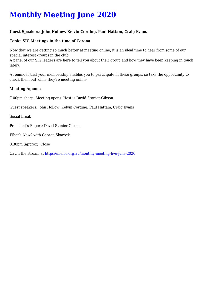# <span id="page-5-0"></span>**[Monthly Meeting June 2020](https://www.melbpc.org.au/?p=74171)**

#### **Guest Speakers: John Hollow, Kelvin Cording, Paul Hattam, Craig Evans**

#### **Topic: SIG Meetings in the time of Corona**

Now that we are getting so much better at meeting online, it is an ideal time to hear from some of our special interest groups in the club.

A panel of our SIG leaders are here to tell you about their group and how they have been keeping in touch lately.

A reminder that your membership enables you to participate in these groups, so take the opportunity to check them out while they're meeting online.

#### **Meeting Agenda**

7.00pm sharp: Meeting opens. Host is David Stonier-Gibson.

Guest speakers: John Hollow, Kelvin Cording, Paul Hattam, Craig Evans

Social break

President's Report: David Stonier-Gibson

What's New? with George Skarbek

8.30pm (approx): Close

Catch the stream at<https://melcc.org.au/monthly-meeting-live-june-2020>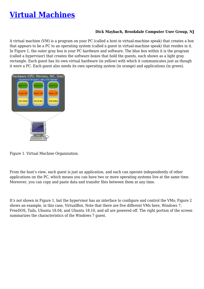# <span id="page-6-0"></span>**[Virtual Machines](https://www.melbpc.org.au/?p=74150)**

#### **Dick Maybach, Brookdale Computer User Group, NJ**

A virtual machine (VM) is a program on your PC (called a host in virtual-machine speak) that creates a box that appears to be a PC to an operating system (called a guest in virtual-machine speak) that resides in it. In Figure 1, the outer gray box is your PC hardware and software. The blue box within it is the program (called a hypervisor) that creates the software boxes that hold the guests, each shown as a light gray rectangle. Each guest has its own virtual hardware (in yellow) with which it communicates just as though it were a PC. Each guest also needs its own operating system (in orange) and applications (in green).



Figure 1. Virtual Machine Organization.

From the host's view, each guest is just an application, and each can operate independently of other applications on the PC, which means you can have two or more operating systems live at the same time. Moreover, you can copy and paste data and transfer files between them at any time.

It's not shown in Figure 1, but the hypervisor has an interface to configure and control the VMs; Figure 2 shows an example, in this case, VirtualBox. Note that there are five different VMs here, Windows 7, FreeDOS, Tails, Ubuntu 18.04, and Ubuntu 18.10, and all are powered off. The right portion of the screen summarizes the characteristics of the Windows 7 guest.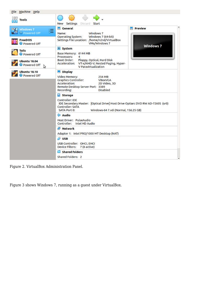

Figure 2. VirtualBox Administration Panel.

Figure 3 shows Windows 7, running as a guest under VirtualBox.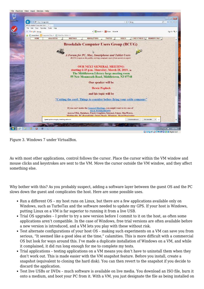

Figure 3. Windows 7 under VirtualBox.

As with most other applications, control follows the cursor. Place the cursor within the VM window and mouse clicks and keystrokes are sent to the VM. Move the cursor outside the VM window, and they affect something else.

Why bother with this? As you probably suspect, adding a software layer between the guest OS and the PC slows down the guest and complicates the host. Here are some possible uses.

- Run a different OS my host runs on Linux, but there are a few applications available only on Windows, such as TurboTax and the software needed to update my GPS. If your host is Windows, putting Linux on a VM is far superior to running it from a live USB.
- Trial OS upgrades I prefer to try a new version before I commit to it on the host, as often some applications aren't compatible. In the case of Windows, free trial versions are often available before a new version is introduced, and a VM lets you play with these without risk.
- Test alternate configurations of your host OS making such experiments on a VM can save you from serious, "It seemed like a good idea at the time," calamities. This is more difficult with a commercial OS but look for ways around this. I've made a duplicate installation of Windows on a VM, and while it complained, it did run long enough for me to complete my tests.
- Trial applications testing applications on a VM means you don't have to uninstall them when they don't work out. This is made easier with the VM snapshot feature. Before you install, create a snapshot (equivalent to cloning the hard disk). You can then revert to the snapshot if you decide to discard the application.
- Test live USBs or DVDs much software is available on live media. You download an ISO file, burn it onto a medium, and boot your PC from it. With a VM, you just designate the file as being installed on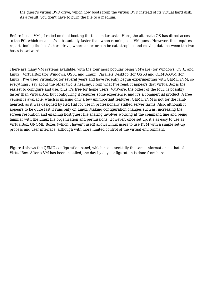the guest's virtual DVD drive, which now boots from the virtual DVD instead of its virtual hard disk. As a result, you don't have to burn the file to a medium.

Before I used VMs, I relied on dual booting for the similar tasks. Here, the alternate OS has direct access to the PC, which means it's substantially faster than when running as a VM guest. However, this requires repartitioning the host's hard drive, where an error can be catastrophic, and moving data between the two hosts is awkward.

There are many VM systems available, with the four most popular being VMWare (for Windows, OS X, and Linux), VirtualBox (for Windows, OS X, and Linux) Parallels Desktop (for OS X) and QEMU/KVM (for Linux). I've used VirtualBox for several years and have recently begun experimenting with QEMU/KVM, so everything I say about the other two is hearsay. From what I've read, it appears that VirtualBox is the easiest to configure and use, plus it's free for home users. VMWare, the oldest of the four, is possibly faster than VirtualBox, but configuring it requires some experience, and it's a commercial product. A free version is available, which is missing only a few unimportant features. QEMU/KVM is not for the fainthearted, as it was designed by Red Hat for use in professionally staffed server farms. Also, although it appears to be quite fast it runs only on Linux. Making configuration changes such as, increasing the screen resolution and enabling host/guest file sharing involves working at the command line and being familiar with the Linux file organization and permissions. However, once set up, it's as easy to use as VirtualBox. GNOME Boxes (which I haven't used) allows Linux users to use KVM with a simple set-up process and user interface, although with more limited control of the virtual environment.

Figure 4 shows the QEMU configuration panel, which has essentially the same information as that of VirtualBox. After a VM has been installed, the day-by-day configuration is done from here.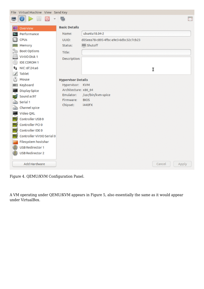|    | File Virtual Machine View Send Key |                           |                                      |                 |         |
|----|------------------------------------|---------------------------|--------------------------------------|-----------------|---------|
|    | TU)                                | G                         |                                      |                 | $5 - 5$ |
|    | Overview                           | <b>Basic Details</b>      |                                      |                 |         |
|    | Performance                        | Name:                     | ubuntu18.04-2                        |                 |         |
|    | <b>CPUs</b>                        | UUID:                     | d05eea78-c895-4fbc-a9e3-6dbc32c7cb23 |                 |         |
|    | Memory                             | Status:                   | <b>III</b> Shutoff                   |                 |         |
|    | <b>Boot Options</b>                | Title:                    |                                      |                 |         |
|    | VirtIO Disk 1                      | <b>Description:</b>       |                                      |                 |         |
|    | <b>IDE CDROM 1</b>                 |                           |                                      |                 |         |
| Ťı | NIC:6f:24:a6                       |                           |                                      | Ī               |         |
|    | Tablet                             |                           |                                      |                 |         |
|    | Mouse                              | <b>Hypervisor Details</b> |                                      |                 |         |
|    | Keyboard                           | Hypervisor: KVM           |                                      |                 |         |
|    | <b>Display Spice</b>               | Architecture: x86_64      |                                      |                 |         |
|    | Sound ac97                         | Emulator:<br>Firmware:    | /usr/bin/kvm-spice<br><b>BIOS</b>    |                 |         |
|    | Serial 1                           | Chipset:                  | <b>i440FX</b>                        |                 |         |
|    | Channel spice                      |                           |                                      |                 |         |
|    | Video QXL                          |                           |                                      |                 |         |
|    | Controller USB 0                   |                           |                                      |                 |         |
|    | Controller PCI 0                   |                           |                                      |                 |         |
|    | Controller IDE 0                   |                           |                                      |                 |         |
|    | Controller VirtIO Serial 0         |                           |                                      |                 |         |
|    | Filesystem hostshar                |                           |                                      |                 |         |
|    | <b>USB Redirector 1</b>            |                           |                                      |                 |         |
|    | <b>USB Redirector 2</b>            |                           |                                      |                 |         |
|    | Add Hardware                       |                           |                                      | Cancel<br>Apply |         |

Figure 4. QEMU/KVM Configuration Panel.

A VM operating under QEMU/KVM appears in Figure 5, also essentially the same as it would appear under VirtualBox.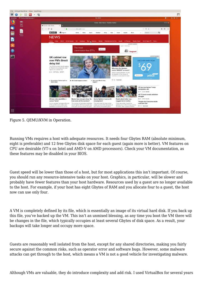

Figure 5. QEMU/KVM in Operation.

Running VMs requires a host with adequate resources. It needs four Gbytes RAM (absolute minimum, eight is preferable) and 12 free Gbytes disk space for each guest (again more is better). VM features on CPU are desirable (VT-x on Intel and AMD-V on AMD processors). Check your VM documentation, as these features may be disabled in your BIOS.

Guest speed will be lower than those of a host, but for most applications this isn't important. Of course, you should run any resource-intensive tasks on your host. Graphics, in particular, will be slower and probably have fewer features than your host hardware. Resources used by a guest are no longer available to the host. For example, if your host has eight Gbytes of RAM and you allocate four to a guest, the host now can use only four.

A VM is completely defined by its file, which is essentially an image of its virtual hard disk. If you back up this file, you've backed up the VM. This isn't an unmixed blessing, as any time you boot the VM there will be changes in the file, which typically occupies at least several Gbytes of disk space. As a result, your backups will take longer and occupy more space.

Guests are reasonably well isolated from the host, except for any shared directories, making you fairly secure against the common risks, such as operator error and software bugs. However, some malware attacks can get through to the host, which means a VM is not a good vehicle for investigating malware.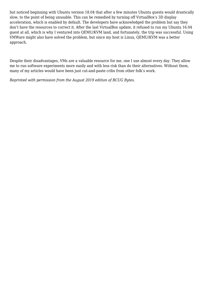but noticed beginning with Ubuntu version 18.04 that after a few minutes Ubuntu guests would drastically slow, to the point of being unusable. This can be remedied by turning off VirtualBox's 3D display acceleration, which is enabled by default. The developers have acknowledged the problem but say they don't have the resources to correct it. After the last VirtualBox update, it refused to run my Ubuntu 16.04 guest at all, which is why I ventured into QEMU/KVM land, and fortunately, the trip was successful. Using VMWare might also have solved the problem, but since my host is Linux, QEMU/KVM was a better approach.

Despite their disadvantages, VMs are a valuable resource for me, one I use almost every day. They allow me to run software experiments more easily and with less risk than do their alternatives. Without them, many of my articles would have been just cut-and-paste cribs from other folk's work.

*Reprinted with permission from the August 2019 edition of BCUG Bytes.*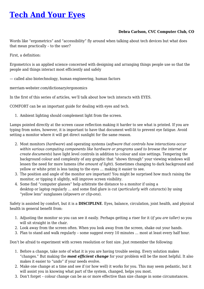# <span id="page-13-0"></span>**[Tech And Your Eyes](https://www.melbpc.org.au/?p=74158)**

#### **Debra Carlson, CVC Computer Club, CO**

Words like "ergometrics" and "accessibility" fly around when talking about tech devices but what does that mean practically – to the user?

First, a definition:

Ergometrics is an applied science concerned with designing and arranging things people use so that the people and things interact most efficiently and safely

— called also biotechnology, human engineering, human factors

merriam-webster.com/dictionary/ergonomics

In the first of this series of articles, we'll talk about how tech interacts with EYES.

COMFORT can be an important guide for dealing with eyes and tech.

1. Ambient lighting should complement light from the screen.

Lamps pointed directly at the screen cause reflection making it harder to see what is printed. If you are typing from notes, however, it is important to have that document well-lit to prevent eye fatigue. Avoid setting a monitor where it will get direct sunlight for the same reason.

- 2. Most monitors (*hardware*) and operating systems (*software that controls how interactions occur within various computing components like hardware or programs used to browse the internet or create documents*) have light level controls in addition to colour and size settings. Tempering the background colour and complexity of any graphic that "shows through" your viewing windows will lessen the need for more lumens (*the amount of light*). Sometimes changing to dark background and yellow or white print is less taxing to the eyes … making it easier to see.
- 3. The position and angle of the monitor are important! You might be surprised how much raising the monitor, or tipping it slightly, will improve screen visibility.
- 4. Some find "computer glasses" help arbitrate the distance to a monitor if using a desktop or laptop regularly … and some find glare is cut (*particularly with cataracts*) by using "yellow lens" sunglasses (*slipovers or clip-ons*).

Safety is assisted by comfort, but it is a **DISCIPLINE**. Eyes, balance, circulation, joint health, and physical health in general benefit from:

- 1. Adjusting the monitor so you can see it easily. Perhaps getting a riser for it (*if you are taller)* so you will sit straight in the chair.
- 2. Look away from the screen often. When you look away from the screen, shake out your hands.
- 3. Plan to stand and walk regularly some suggest every 10 minutes … most at least every half hour.

Don't be afraid to experiment with screen resolution or font size. Just remember the following:

- 1. Before a change, take note of what it is you are having trouble seeing. Every solution makes "changes." But making the *most efficient change* for your problem will be the most helpful. It also makes it easier to "undo" if your needs evolve.
- 2. Make one change at a time and see if (or how well) it works for you. This may seem pedantic, but it will assist you in knowing what part of the system, changed, helps you most.
- 3. Don't forget colour change can be as or more effective than size change in some circumstances.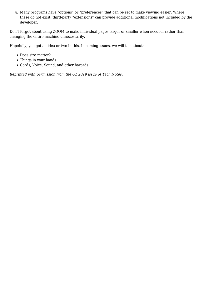4. Many programs have "options" or "preferences" that can be set to make viewing easier. Where these do not exist, third-party "extensions" can provide additional modifications not included by the developer.

Don't forget about using ZOOM to make individual pages larger or smaller when needed, rather than changing the entire machine unnecessarily.

Hopefully, you got an idea or two in this. In coming issues, we will talk about:

- Does size matter?
- Things in your hands
- Cords, Voice, Sound, and other hazards

*Reprinted with permission from the Q1 2019 issue of Tech Notes.*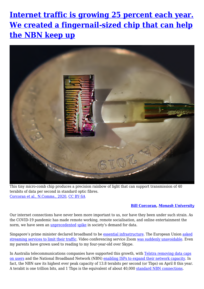# <span id="page-15-0"></span>**[Internet traffic is growing 25 percent each year.](https://www.melbpc.org.au/?p=74166) [We created a fingernail-sized chip that can help](https://www.melbpc.org.au/?p=74166) [the NBN keep up](https://www.melbpc.org.au/?p=74166)**



This tiny micro-comb chip produces a precision rainbow of light that can support transmission of 40 terabits of data per second in standard optic fibres. [Corcoran et al., N.Comms., 2020,](https://www.nature.com/ncomms/) [CC BY-SA](http://creativecommons.org/licenses/by-sa/4.0/)

#### **[Bill Corcoran](https://theconversation.com/profiles/bill-corcoran-1043343),** *[Monash University](https://theconversation.com/institutions/monash-university-1065)*

Our internet connections have never been more important to us, nor have they been under such strain. As the COVID-19 pandemic has made remote working, remote socialisation, and online entertainment the norm, we have seen an [unprecedented](https://www.zdnet.com/article/coronavirus-how-the-internet-is-coping-with-all-your-extra-traffic/) [spike](https://www.forbes.com/sites/markbeech/2020/03/25/covid-19-pushes-up-internet-use-70-streaming-more-than-12-first-figures-reveal/#26c5c4e3104e) in society's demand for data.

Singapore's prime minister declared broadband to be [essential infrastructure](https://www.channelnewsasia.com/news/singapore/covid-19-pm-lee-full-speech-circuit-breaker-extended-june-1-12662056?fbclid=IwAR2p49D4SJxH-B7L_Ef7qnsAtnfZHQAL4nMruzD2bWek5Pge7e6SZAPraSY). The European Union [asked](https://www.forbes.com/sites/johnarcher/2020/03/21/disney-joins-netflix-apple-amazon-and-youtube-in-throttling-streaming-quality-during-coronavirus-outbreak/#31b1deb9753f) [streaming services to limit their traffic](https://www.forbes.com/sites/johnarcher/2020/03/21/disney-joins-netflix-apple-amazon-and-youtube-in-throttling-streaming-quality-during-coronavirus-outbreak/#31b1deb9753f). Video conferencing service Zoom [was suddenly unavoidable](https://blog.zoom.us/wordpress/2020/04/01/a-message-to-our-users/). Even my parents have grown used to reading to my four-year-old over Skype.

In Australia telecommunications companies have supported this growth, with [Telstra removing data caps](https://www.telstra.com.au/covid19/supporting-you-during-covid-19) [on users](https://www.telstra.com.au/covid19/supporting-you-during-covid-19) and the National Broadband Network (NBN) [enabling ISPs to expand their network capacity.](https://www.nbnco.com.au/campaigns/covid-19) In fact, the NBN saw its highest ever peak capacity of 13.8 terabits per second (or Tbps) on April 8 this year. A terabit is one trillion bits, and 1 Tbps is the equivalent of about 40,000 [standard NBN connections](https://www.whistleout.com.au/Broadband/Guides/what-nbn-speed-do-you-need).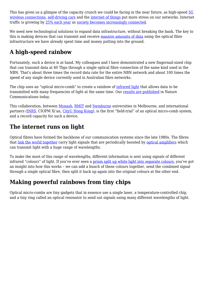This has given us a glimpse of the capacity crunch we could be facing in the near future, as high-speed [5G](https://theconversation.com/what-is-5g-the-next-generation-of-wireless-explained-96165) [wireless connections](https://theconversation.com/what-is-5g-the-next-generation-of-wireless-explained-96165), [self-driving cars](https://theconversation.com/driverless-cars-are-forcing-cities-to-become-smart-94707) and the [internet of things](https://theconversation.com/explainer-the-internet-of-things-16542) put more stress on our networks. Internet traffic is growing by [25% each year](https://www.cisco.com/c/en/us/solutions/collateral/serviceprovider/visual-networking-index-vni/completewhite-paper-c11-481360.html) as [society becomes increasingly connected](https://theconversation.com/are-we-ready-for-the-digital-tsunami-100879).

We need new technological solutions to expand data infrastructure, without breaking the bank. The key to this is making devices that can transmit and receive [massive amounts of data](https://doi.org/10.1364/OE.26.024190) using the optical fibre infrastructure we have already spent time and money putting into the ground.

# **A high-speed rainbow**

Fortunately, such a device is at hand. My colleagues and I have demonstrated a new fingernail-sized chip that can transmit data at 40 Tbps through a single optical fibre connection of the same kind used in the NBN. That's about three times the record data rate for the entire NBN network and about 100 times the speed of any single device currently used in Australian fibre networks.

The chip uses an "optical micro-comb" to create a rainbow of [infrared light](https://www.rp-photonics.com/optical_fiber_communications.html) that allows data to be transmitted with many frequencies of light at the same time. Our [results are published](http://doi.org/10.1038/s41467-020-16265-x) in Nature Communications today.

This collaboration, between [Monash,](https://www.monash.edu/photonic-comms) [RMIT](https://www.inpac.org.au/) and [Swinburne](https://www.swinburne.edu.au/research/micro-photonics/) universities in Melbourne, and international partners [\(INRS](http://www.nonlinearphotonics.com/), CIOPM Xi'an, [CityU Hong Kong](https://scholars.cityu.edu.hk/en/persons/sai-tak-chu(e889333d-0158-4dda-b786-957496f453d3).html)), is the first "field-trial" of an optical micro-comb system, and a record capacity for such a device.

# **The internet runs on light**

Optical fibres have formed the backbone of our communication systems since the late 1980s. The fibres that [link the world together](https://www.submarinecablemap.com/#/submarine-cable/southern-cross-next) carry light signals that are periodically boosted by [optical amplifiers](https://en.wikipedia.org/wiki/Optical_amplifier) which can transmit light with a huge range of wavelengths.

To make the most of this range of wavelengths, different information is sent using signals of different infrared "colours" of light. If you've ever seen a [prism split up white light into separate colours](https://youtu.be/uucYGK_Ymp0), you've got an insight into how this works – we can add a bunch of these colours together, send the combined signal through a single optical fibre, then split it back up again into the original colours at the other end.

# **Making powerful rainbows from tiny chips**

Optical micro-combs are tiny gadgets that in essence use a single laser, a temperature-controlled chip, and a tiny ring called an optical resonator to send out signals using many different wavelengths of light.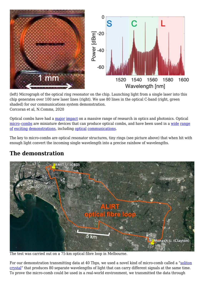

(left) Micrograph of the optical ring resonator on the chip. Launching light from a single laser into this chip generates over 100 new laser lines (right). We use 80 lines in the optical C-band (right, green shaded) for our communications system demonstration. Corcoran et al, N.Comms, 2020

Optical combs have had a [major](https://journals.aps.org/rmp/pdf/10.1103/RevModPhys.78.1279) [impact](https://journals.aps.org/rmp/pdf/10.1103/RevModPhys.78.1297) on a massive range of research in optics and photonics. Optical [micro](https://www.nature.com/articles/s41566-019-0358-x)-combs are miniature devices that can produce optical combs, and have been used in a [wide](https://science.sciencemag.org/content/354/6312/600) [range](https://www.nature.com/articles/s41586-018-0065-7) [of](https://science.sciencemag.org/content/359/6378/887) [exciting](https://science.sciencemag.org/content/351/6278/1176) [demonstrations](https://www.nature.com/articles/nphoton.2016.105?draft=collection), including [optical](https://www.nature.com/articles/nature22387) [communications](https://www.nature.com/articles/s41566-018-0205-5).

The key to micro-combs are optical resonator structures, tiny rings (see picture above) that when hit with enough light convert the incoming single wavelength into a precise rainbow of wavelengths.

# **The demonstration**



The test was carried out on a 75-km optical fibre loop in Melbourne.

For our demonstration transmitting data at 40 Tbps, we used a novel kind of micro-comb called a "[soliton](https://www.nature.com/articles/s41566-017-0009-z) [crystal](https://www.nature.com/articles/s41566-017-0009-z)" that produces 80 separate wavelengths of light that can carry different signals at the same time. To prove the micro-comb could be used in a real-world environment, we transmitted the data through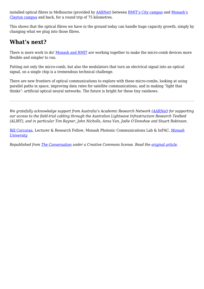installed optical fibres in Melbourne (provided by **AARNet**) between **[RMIT's City campus](https://www.google.com/maps/place/RMIT+University/@-37.8081201,144.9644196,15z/data=!4m2!3m1!1s0x0:0x8a729628b77319df?sa=X&ved=2ahUKEwiAxueim7zpAhWJ73MBHTruDIkQ_BIwJnoECBsQCA) and [Monash's](https://www.google.com/maps/place/Monash+University/@-37.910134,145.13306,14.93z/data=!4m5!3m4!1s0x6ad66acbf64673b9:0xfaf9b169a587104!8m2!3d-37.9105599!4d145.1362485)** [Clayton campus](https://www.google.com/maps/place/Monash+University/@-37.910134,145.13306,14.93z/data=!4m5!3m4!1s0x6ad66acbf64673b9:0xfaf9b169a587104!8m2!3d-37.9105599!4d145.1362485) and back, for a round trip of 75 kilometres.

This shows that the optical fibres we have in the ground today can handle huge capacity growth, simply by changing what we plug into those fibres.

# **What's next?**

There is more work to do! [Monash and RMIT](https://www.rmit.edu.au/students/student-essentials/information-for/research-candidates/enriching-your-candidature/grants-and-scholarships/2019/postgraduate-by-research/phd-scholarship-rainbows-on-demand) are working together to make the micro-comb devices more flexible and simpler to run.

Putting not only the micro-comb, but also the modulators that turn an electrical signal into an optical signal, on a single chip is a tremendous technical challenge.

There are new frontiers of optical communications to explore with these micro-combs, looking at using parallel paths in space, improving data rates for satellite communications, and in making "light that thinks": artificial optical neural networks. The future is bright for these tiny rainbows.

*We gratefully acknowledge support from Australia's Academic Research Network ([AARNet\)](https://www.aarnet.edu.au) for supporting our access to the field-trial cabling through the Australian Lightwave Infrastructure Research Testbed (ALIRT), and in particular Tim Rayner, John Nicholls, Anna Van, Jodie O'Donohoe and Stuart Robinson.*

[Bill Corcoran](https://theconversation.com/profiles/bill-corcoran-1043343), Lecturer & Research Fellow, Monash Photonic Communications Lab & InPAC, *[Monash](https://theconversation.com/institutions/monash-university-1065) [University](https://theconversation.com/institutions/monash-university-1065)*

*Republished from [The Conversation](https://theconversation.com) under a Creative Commons license. Read the [original article.](https://theconversation.com/internet-traffic-is-growing-25-each-year-we-created-a-fingernail-sized-chip-that-can-help-the-nbn-keep-up-138620)*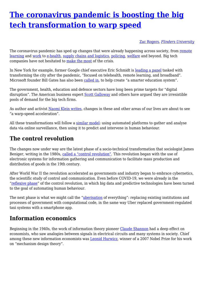# <span id="page-19-0"></span>**[The coronavirus pandemic is boosting the big](https://www.melbpc.org.au/?p=74160) [tech transformation to warp speed](https://www.melbpc.org.au/?p=74160)**

#### [Zac Rogers](https://theconversation.com/profiles/zac-rogers-301823), *[Flinders University](https://theconversation.com/institutions/flinders-university-972)*

The coronavirus pandemic has sped up changes that were already happening across society, from [remote](https://theconversation.com/coronavirus-school-closures-impact-1-3-billion-children-and-remote-learning-is-increasing-inequality-138656) [learning](https://theconversation.com/coronavirus-school-closures-impact-1-3-billion-children-and-remote-learning-is-increasing-inequality-138656) and [work](https://www.abc.net.au/news/2020-05-04/coronavirus-working-from-home-jobs-divide-women-men/12207694) to [e-health](https://theconversation.com/all-australians-will-be-able-to-access-telehealth-under-new-1-1-billion-coronavirus-program-134987), [supply chains and logistics,](https://www.theinvestor.jll/news/australia/industrial/how-the-covid-19-toilet-paper-shortage-is-changing-logistics/) [policing,](https://www.theage.com.au/national/victoria/police-push-for-expanded-pso-powers-to-continue-post-pandemic-20200520-p54uu2.html) [welfare](https://www.theguardian.com/australia-news/2020/may/10/time-to-click-reset-coronavirus-offers-chance-to-end-australias-welfare-wars) and beyond. Big tech companies have not hesitated to [make the most](https://www.businessinsider.com.au/bill-ackman-coronavirus-hugely-beneficial-amazon-big-tech-2020-5) of the crisis.

In New York for example, former Google chief executive Eric Schmidt is [leading a panel](https://www.businessinsider.com.au/cuomo-taps-ex-google-ceo-eric-schmidt-chair-reimagining-commission-2020-5) tasked with transforming the city after the pandemic, "focused on telehealth, remote learning, and broadband". Microsoft founder Bill Gates has also been [called in,](https://www.washingtonpost.com/education/2020/05/06/cuomo-questions-why-school-buildings-still-exist-says-new-york-will-work-with-bill-gates-reimagine-education/) to help create "a smarter education system".

The government, health, education and defence sectors have long been prime targets for "digital disruption". The American business expert [Scott Galloway](https://nymag.com/intelligencer/2020/05/scott-galloway-future-of-college.html) and others have argued they are irresistible pools of demand for the big tech firms.

As author and activist [Naomi Klein writes](https://www.theguardian.com/news/2020/may/13/naomi-klein-how-big-tech-plans-to-profit-from-coronavirus-pandemic), changes in these and other areas of our lives are about to see "a warp-speed acceleration".

All these transformations will follow a [similar model:](https://books.google.com.au/books/about/The_Age_of_Surveillance_Capitalism.html?id=W7ZEDgAAQBAJ&redir_esc=y) using automated platforms to gather and analyse data via online surveillance, then using it to predict and intervene in human behaviour.

### **The control revolution**

The changes now under way are the latest phase of a socio-technical transformation that sociologist James Beniger, writing in the 1980s, [called a "control revolution"](https://books.google.com.au/books?id=eUEKB-CMkIkC&printsec=frontcover&dq=james+beniger+control+revolution+1999&hl=en&sa=X&ved=0ahUKEwjtqp3ZxKrpAhWMfH0KHey-DWAQ6AEIOTAC#v=onepage&q=james%20beniger%20control%20revolution%201999&f=false). This revolution began with the use of electronic systems for information gathering and communication to facilitate mass production and distribution of goods in the 19th century.

After World War II the revolution accelerated as governments and industry began to embrace cybernetics, the scientific study of control and communication. Even before COVID-19, we were already in the ["reflexive phase"](https://www.routledge.com/Automated-Media-1st-Edition/Andrejevic/p/book/9780367196837) of the control revolution, in which big data and predictive technologies have been turned to the goal of automating human behaviour.

The next phase is what we might call the ["uberisation](https://www.forbes.com/sites/kevinomarah/2017/09/28/uber-is-in-trouble-but-uberization-is-a-must-have/) of everything": replacing existing institutions and processes of government with computational code, in the same way Uber replaced government-regulated taxi systems with a smartphone app.

### **Information economics**

Beginning in the 1940s, the work of information theory pioneer [Claude Shannon](http://people.math.harvard.edu/%7Ectm/home/text/others/shannon/entropy/entropy.pdf) had a deep effect on economists, who saw analogies between signals in electrical circuits and many systems in society. Chief among these new information economists was [Leonid Hurwicz](https://en.wikipedia.org/wiki/Leonid_Hurwicz), winner of a 2007 Nobel Prize for his work on "mechanism design theory".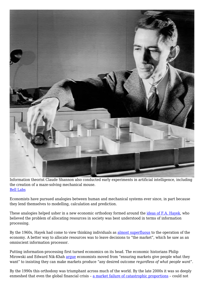

Information theorist Claude Shannon also conducted early experiments in artificial intelligence, including the creation of a maze-solving mechanical mouse. [Bell Labs](https://s3.amazonaws.com/bell-labs-microsite-news/news/2001/february/26/1.html)

Economists have pursued analogies between human and mechanical systems ever since, in part because they lend themselves to modelling, calculation and prediction.

These analogies helped usher in a new economic orthodoxy formed around the [ideas of F.A. Hayek,](https://www.jstor.org/stable/1809376?seq=1) who believed the problem of allocating resources in society was best understood in terms of information processing.

By the 1960s, Hayek had come to view thinking individuals as [almost superfluous](https://cdn.mises.org/qjae5_3_3.pdf) to the operation of the economy. A better way to allocate resources was to leave decisions to "the market", which he saw as an omniscient information processor.

Putting information-processing first turned economics on its head. The economic historians Philip Mirowski and Edward Nik-Khah [argue](https://www.oxfordscholarship.com/view/10.1093/acprof:oso/9780190270056.001.0001/acprof-9780190270056) economists moved from "ensuring markets give people what they want" to insisting they can make markets produce "any desired outcome *regardless of what people want*".

By the 1990s this orthodoxy was triumphant across much of the world. By the late 2000s it was so deeply enmeshed that even the global financial crisis – [a market failure of catastrophic proportions](https://www.penguinrandomhouse.com/books/232739/never-let-a-serious-crisis-go-to-waste-by-philip-mirowski/) – could not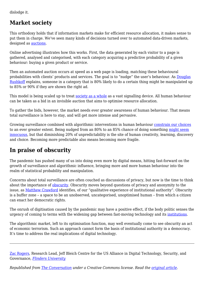dislodge it.

# **Market society**

This orthodoxy holds that if information markets make for efficient resource allocation, it makes sense to put them in charge. We've seen many kinds of decisions turned over to automated data-driven markets, designed as [auctions](https://www.cambridge.org/core/journals/journal-of-institutional-economics/article/tale-of-two-auctions/A8CD471D2EC2F69BB23B3707CB0B6354).

Online advertising illustrates how this works. First, the data generated by each visitor to a page is gathered, analysed and categorised, with each category acquiring a predictive probability of a given behaviour: buying a given product or service.

Then an automated auction occurs at speed as a web page is loading, matching these behavioural probabilities with clients' products and services. The goal is to "nudge" the user's behaviour. As [Douglas](https://medium.com/team-human/our-lives-are-now-run-by-persuasion-engineers-c42e5b352bf6) [Rushkoff](https://medium.com/team-human/our-lives-are-now-run-by-persuasion-engineers-c42e5b352bf6) explains, someone in a category that is 80% likely to do a certain thing might be manipulated up to 85% or 90% if they are shown the right ad.

This model is being scaled up to treat [society as a whole](http://www.masfoundations.org/) as a vast signalling device. All human behaviour can be taken as a bid in an invisible auction that aims to optimise resource allocation.

To gather the bids, however, the market needs ever greater awareness of human behaviour. That means total surveillance is here to stay, and will get more intense and pervasive.

Growing surveillance combined with algorithmic interventions in human behaviour [constrain our choices](https://www.theatlantic.com/technology/archive/2014/02/welcome-to-algorithmic-prison/283985/) to an ever greater extent. Being nudged from an 80% to an 85% chance of doing something [might seem](https://medium.com/team-human/our-lives-are-now-run-by-persuasion-engineers-c42e5b352bf6) [innocuous,](https://medium.com/team-human/our-lives-are-now-run-by-persuasion-engineers-c42e5b352bf6) but that diminishing 20% of unpredictability is the site of human creativity, learning, discovery and choice. Becoming more predictable also means becoming more fragile.

# **In praise of obscurity**

The pandemic has pushed many of us into doing even more by digital means, hitting fast-forward on the growth of surveillance and algorithmic influence, bringing more and more human behaviour into the realm of statistical probability and manipulation.

Concerns about total surveillance are often couched as discussions of privacy, but now is the time to think about the importance of **[obscurity](https://www.theatlantic.com/technology/archive/2013/01/obscurity-a-better-way-to-think-about-your-data-than-privacy/267283/)**. Obscurity moves beyond questions of privacy and anonymity to the issue, as [Matthew Crawford](https://americanaffairsjournal.org/2019/05/algorithmic-governance-and-political-legitimacy/) identifies, of our "qualitative experience of institutional authority". Obscurity is a buffer zone – a space to be an unobserved, uncategorised, unoptimised human – from which a citizen can enact her democratic rights.

The onrush of digitisation caused by the pandemic may have a positive effect, if the body politic senses the urgency of coming to terms with the widening gap between fast-moving technology and its [institutions.](https://a16z.com/2020/04/18/its-time-to-build/)

The algorithmic market, left to its optimisation function, may well eventually come to see obscurity an act of economic terrorism. Such an approach cannot form the basis of institutional authority in a democracy. It's time to address the real implications of digital technology.

[Zac Rogers](https://theconversation.com/profiles/zac-rogers-301823), Research Lead, Jeff Bleich Centre for the US Alliance in Digital Technology, Security, and Governance, *[Flinders University](https://theconversation.com/institutions/flinders-university-972)*

*Republished from [The Conversation](https://theconversation.com) under a Creative Commons license. Read the [original article.](https://theconversation.com/the-coronavirus-pandemic-is-boosting-the-big-tech-transformation-to-warp-speed-138537)*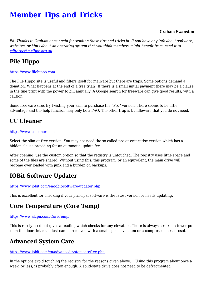# <span id="page-22-0"></span>**[Member Tips and Tricks](https://www.melbpc.org.au/?p=74146)**

#### **Graham Swanston**

*Ed: Thanks to Graham once again for sending these tips and tricks in. If you have any info about software, websites, or hints about an operating system that you think members might benefit from, send it to [editorpc@melbpc.org.au](mailto:editorpc@melbpc.org.au).*

### **File Hippo**

#### [https://www.filehippo.com](http://www.filehippo.com)

The File Hippo site is useful and filters itself for malware but there are traps. Some options demand a donation. What happens at the end of a free trial? If there is a small initial payment there may be a clause in the fine print with the power to bill annually. A Google search for freeware can give good results, with a caution.

Some freeware sites try twisting your arm to purchase the "Pro" version. There seems to be little advantage and the help function may only be a FAQ. The other trap is bundleware that you do not need.

### **CC Cleaner**

#### [https://www.ccleaner.com](http://www.ccleaner.com)

Select the slim or free version. You may not need the so called pro or enterprise version which has a hidden clause providing for an automatic update fee.

After opening, use the custom option so that the registry is untouched. The registry uses little space and some of the files are shared. Without using this, this program, or an equivalent, the main drive will become over loaded with junk and a burden on backups.

### **IOBit Software Updater**

<https://www.iobit.com/en/iobit-software-updater.php>

This is excellent for checking if your principal software is the latest version or needs updating.

### **Core Temperature (Core Temp)**

#### <https://www.alcpu.com/CoreTemp/>

This is rarely used but gives a reading which checks for any elevation. There is always a risk if a tower pc is on the floor. Internal dust can be removed with a small special vacuum or a compressed air aerosol.

### **Advanced System Care**

#### <https://www.iobit.com/en/advancedsystemcarefree.php>

In the options avoid touching the registry for the reasons given above. Using this program about once a week, or less, is probably often enough. A solid-state drive does not need to be defragmented.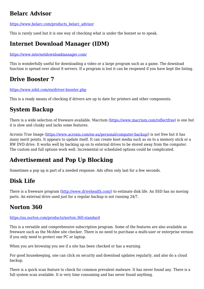# **Belarc Advisor**

[https://www.belarc.com/products\\_belarc\\_advisor](https://www.belarc.com/products_belarc_advisor)

This is rarely used but it is one way of checking what is under the bonnet so to speak.

# **Internet Download Manager (IDM)**

<https://www.internetdownloadmanager.com/>

This is wonderfully useful for downloading a video or a large program such as a game. The download function is spread over about 8 servers. If a program is lost it can be reopened if you have kept the listing.

# **Drive Booster 7**

<https://www.iobit.com/en/driver-booster.php>

This is a ready means of checking if drivers are up to date for printers and other components.

# **System Backup**

There is a wide selection of freeware available. Macrium ([https://www.macrium.com/reflectfree\)](https://www.macrium.com/reflectfree) is one but it is slow and clunky and lacks some features.

Acronis True Image (<https://www.acronis.com/en-au/personal/computer-backup/>) is not free but it has many merit points. It appears to update itself. It can create boot media such as on to a memory stick or a RW DVD drive. It works well by backing up on to external drives to be stored away from the computer. The custom and full options work well. Incremental or scheduled options could be complicated.

# **Advertisement and Pop Up Blocking**

Sometimes a pop up is part of a needed response. Ads often only last for a few seconds.

# **Disk Life**

There is a freeware program ([http://www.drivehealth.com/\)](http://www.drivehealth.com/) to estimate disk life. An SSD has no moving parts. An external drive used just for a regular backup is not running 24/7.

# **Norton 360**

#### <https://au.norton.com/products/norton-360-standard>

This is a versatile and comprehensive subscription program. Some of the features are also available as freeware such as the McAfee site checker. There is no need to purchase a multi-user or enterprise version if you only need to protect one PC or laptop.

When you are browsing you see if a site has been checked or has a warning.

For good housekeeping, one can click on security and download updates regularly, and also do a cloud backup.

There is a quick scan feature to check for common prevalent malware. It has never found any. There is a full system scan available. It is very time consuming and has never found anything.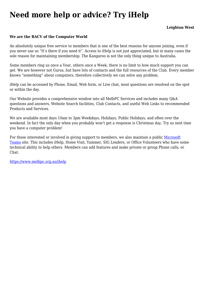# **Need more help or advice? Try iHelp**

#### **We are the RACV of the Computer World**

An absolutely unique free service to members that is one of the best reasons for anyone joining, even if you never use us "It's there if you need it". Access to iHelp is not just appreciated, but in many cases the sole reason for maintaining membership. The Kangaroo is not the only thing unique to Australia.

Some members ring us once a Year, others once a Week, there is no limit to how much support you can get. We are however not Gurus, but have lots of contacts and the full resources of the Club. Every member knows "something" about computers, therefore collectively we can solve any problem.

iHelp can be accessed by Phone, Email, Web form, or Live chat, most questions are resolved on the spot or within the day.

Our Website provides a comprehensive window into all MelbPC Services and includes many Q&A questions and answers, Website Search facilities, Club Contacts, and useful Web Links to recommended Products and Services.

We are available most days 10am to 3pm Weekdays, Holidays, Public Holidays, and often over the weekend. In fact the only day when you probably won't get a response is Christmas day. Try us next time you have a computer problem!

For those interested or involved in giving support to members, we also maintain a public [Microsoft](https://teams.microsoft.com/) [Teams](https://teams.microsoft.com/) site. This includes iHelp, Home Visit, Yammer, SIG Leaders, or Office Volunteers who have some technical ability to help others. Members can add features and make private or group Phone calls, or Chat.

<https://www.melbpc.org.au/ihelp>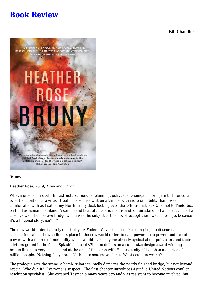# <span id="page-25-0"></span>**[Book Review](https://www.melbpc.org.au/?p=74162)**

**Bill Chandler**



'Bruny'

Heather Rose, 2019, Allen and Unwin

What a prescient novel! Infrastructure, regional planning, political shenanigans, foreign interference, and even the mention of a virus. Heather Rose has written a thriller with more credibility than I was comfortable with as I sat on my North Bruny deck looking over the D'Entrecasteaux Channel to Tinderbox on the Tasmanian mainland. A serene and beautiful location: an island, off an island, off an island. I had a clear view of the massive bridge which was the subject of this novel, except there was no bridge, because it's a fictional story, isn't it?

The new world order is subtly on display. A Federal Government makes gung-ho, albeit secret, assumptions about how to find its place in the new world order, to gain power, keep power, and exercise power, with a degree of incredulity which would make anyone already cynical about politicians and their advisors go red in the face. Splashing a cool \$2billion dollars on a super-size design award-winning bridge linking a very small island at the end of the earth with Hobart, a city of less than a quarter of a million people. Nothing fishy here. Nothing to see, move along. What could go wrong?

The prologue sets the scene: a bomb, sabotage, badly damages the nearly finished bridge, but not beyond repair. Who dun it? Everyone is suspect. The first chapter introduces Astrid, a United Nations conflict resolution specialist. She escaped Tasmania many years ago and was resistant to become involved, but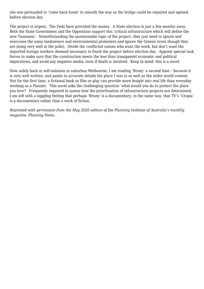she was persuaded to 'come back home' to smooth the way so the bridge could be repaired and opened before election day.

The project is urgent. The Feds have provided the money. A State election is just a few months away. Both the State Government and the Opposition support this 'critical infrastructure which will define the new Tasmania'. Notwithstanding the questionable logic of the project, they just need to ignore and overcome the noisy landowners and environmental protesters and ignore the Greens (even though they are doing very well in the polls). Divide the conflicted unions who want the work, but don't want the imported foreign workers deemed necessary to finish the project before election day. Appoint special task forces to make sure that the construction meets the less than transparent economic and political imperatives, and avoid any negative media, even if death is involved. Keep in mind: this is a novel.

Now safely back in self-isolation in suburban Melbourne, I am reading 'Bruny' a second time – because it is very well written, and paints in accurate details the place I was in as well as the wider world context. Not for the first time, a fictional book or film or play can provide more insight into real life than everyday working as a Planner. This novel asks the challenging question 'what would you do to protect the place you love? Frequently required to assess how the prioritisation of infrastructure projects are determined, I am left with a niggling feeling that perhaps 'Bruny' is a documentary, in the same way, that TV's 'Utopia' is a documentary rather than a work of fiction.

*Reprinted with permission from the May 2020 edition of the Planning Institute of Australia's monthly magazine, Planning News.*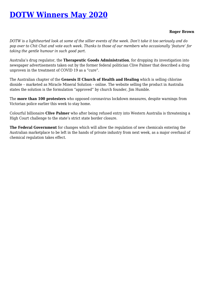# <span id="page-27-0"></span>**[DOTW Winners May 2020](https://www.melbpc.org.au/?p=74139)**

#### **Roger Brown**

*DOTW is a lighthearted look at some of the sillier events of the week. Don't take it too seriously and do pop over to Chit Chat and vote each week. Thanks to those of our members who occasionally 'feature' for taking the gentle humour in such good part.*

Australia's drug regulator, the **Therapeutic Goods Administration**, for dropping its investigation into newspaper advertisements taken out by the former federal politician Clive Palmer that described a drug unproven in the treatment of COVID 19 as a "cure".

The Australian chapter of the **Genesis II Church of Health and Healing** which is selling chlorine dioxide – marketed as Miracle Mineral Solution – online. The website selling the product in Australia states the solution is the formulation "approved" by church founder, Jim Humble.

The **more than 100 protesters** who opposed coronavirus lockdown measures, despite warnings from Victorian police earlier this week to stay home.

Colourful billionaire **Clive Palmer** who after being refused entry into Western Australia is threatening a High Court challenge to the state's strict state border closure.

**The Federal Government** for changes which will allow the regulation of new chemicals entering the Australian marketplace to be left in the hands of private industry from next week, as a major overhaul of chemical regulation takes effect.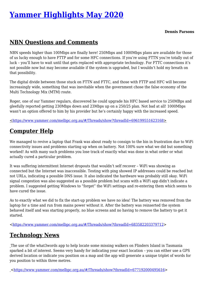# <span id="page-28-0"></span>**[Yammer Highlights May 2020](https://www.melbpc.org.au/?p=74141)**

#### **Dennis Parsons**

### **NBN Questions and Comments**

NBN speeds higher than 100Mbps are finally here! 250Mbps and 1000Mbps plans are available for those of us lucky enough to have FTTP and for some HFC connections. If you're using FTTN you're totally out of luck – you'll have to wait until that gets replaced with appropriate technology. For FTTC connections it's not possible now but may become available if the system is upgraded, but I wouldn't hold my breath on that possibility.

The digital divide between those stuck on FTTN and FTTC, and those with FTTP and HFC will become increasingly wide, something that was inevitable when the government chose the false economy of the Multi Technology Mix (MTM) route.

Roger, one of our Yammer regulars, discovered he could upgrade his HFC based service to 250MBps and gleefully reported getting 230Mbps down and 23Mbps up on a 250/25 plan. Not bad at all! 1000Mbps wasn't an option offered to him by his provider but he's certainly happy with the increased speed.

<[https://www.yammer.com/melbpc.org.au/#/Threads/show?threadId=696199551623168>](https://www.yammer.com/melbpc.org.au/#/Threads/show?threadId=696199551623168)

# **Computer Help**

We managed to revive a laptop that Frank was about ready to consign to the bin in frustration due to WiFi connectivity issues and problems starting up when on battery. Not 100% sure what we did but something worked! As with many such problems you lose track of exactly what was done in what order or what actually cured a particular problem.

It was suffering intermittent Internet dropouts that wouldn't self recover – WiFi was showing as connected but the Internet was inaccessible. Testing with ping showed IP addresses could be reached but not URLs, indicating a possible DNS issue. It also indicated the hardware was probably still okay. WiFi signal congestion was also suggested as a possible problem but scans with a WiFi app didn't indicate a problem. I suggested getting Windows to "forget" the WiFi settings and re-entering them which seems to have cured the issue.

As to exactly what we did to fix the start-up problem we have no idea! The battery was removed from the laptop for a time and run from mains power without it. After the battery was reinserted the system behaved itself and was starting properly, no blue screens and no having to remove the battery to get it started.

<[https://www.yammer.com/melbpc.org.au/#/Threads/show?threadId=683582203379712>](https://www.yammer.com/melbpc.org.au/#/Threads/show?threadId=683582203379712)

### **Technology News**

The use of the what3words app to help locate some missing walkers on Flinders Island in Tasmania sparked a bit of interest. Seems very handy for indicating your exact location – you can either use a GPS derived location or indicate you position on a map and the app will generate a unique triplet of words for you position to within three metres.

<[https://www.yammer.com/melbpc.org.au/#/Threads/show?threadId=677192000495616>](https://www.yammer.com/melbpc.org.au/#/Threads/show?threadId=677192000495616)